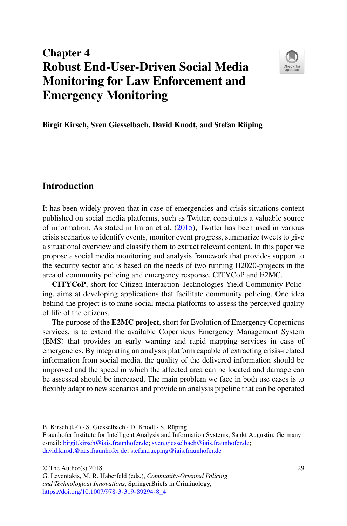# **Chapter 4 Robust End-User-Driven Social Media Monitoring for Law Enforcement and Emergency Monitoring**



**Birgit Kirsch, Sven Giesselbach, David Knodt, and Stefan Rüping**

# **Introduction**

It has been widely proven that in case of emergencies and crisis situations content published on social media platforms, such as Twitter, constitutes a valuable source of information. As stated in Imran et al. [\(2015\)](#page-7-0), Twitter has been used in various crisis scenarios to identify events, monitor event progress, summarize tweets to give a situational overview and classify them to extract relevant content. In this paper we propose a social media monitoring and analysis framework that provides support to the security sector and is based on the needs of two running H2020-projects in the area of community policing and emergency response, CITYCoP and E2MC.

**CITYCoP**, short for Citizen Interaction Technologies Yield Community Policing, aims at developing applications that facilitate community policing. One idea behind the project is to mine social media platforms to assess the perceived quality of life of the citizens.

The purpose of the **E2MC project**, short for Evolution of Emergency Copernicus services, is to extend the available Copernicus Emergency Management System (EMS) that provides an early warning and rapid mapping services in case of emergencies. By integrating an analysis platform capable of extracting crisis-related information from social media, the quality of the delivered information should be improved and the speed in which the affected area can be located and damage can be assessed should be increased. The main problem we face in both use cases is to flexibly adapt to new scenarios and provide an analysis pipeline that can be operated

B. Kirsch (⊠) · S. Giesselbach · D. Knodt · S. Rüping

Fraunhofer Institute for Intelligent Analysis and Information Systems, Sankt Augustin, Germany e-mail: [birgit.kirsch@iais.fraunhofer.de;](mailto:birgit.kirsch@iais.fraunhofer.de) [sven.giesselbach@iais.fraunhofer.de;](mailto:sven.giesselbach@iais.fraunhofer.de) [david.knodt@iais.fraunhofer.de;](mailto:david.knodt@iais.fraunhofer.de) [stefan.rueping@iais.fraunhofer.de](mailto:stefan.rueping@iais.fraunhofer.de)

G. Leventakis, M. R. Haberfeld (eds.), *Community-Oriented Policing and Technological Innovations*, SpringerBriefs in Criminology, [https://doi.org/10.1007/978-3-319-89294-8\\_4](https://doi.org/10.1007/978-3-319-89294-8_4)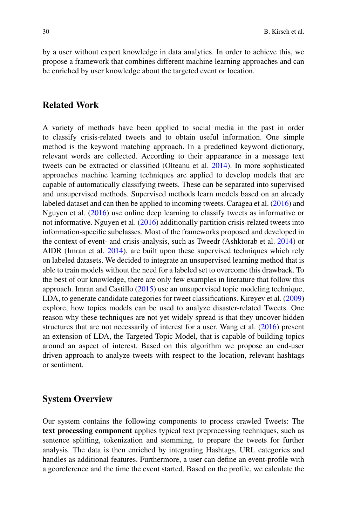by a user without expert knowledge in data analytics. In order to achieve this, we propose a framework that combines different machine learning approaches and can be enriched by user knowledge about the targeted event or location.

## **Related Work**

A variety of methods have been applied to social media in the past in order to classify crisis-related tweets and to obtain useful information. One simple method is the keyword matching approach. In a predefined keyword dictionary, relevant words are collected. According to their appearance in a message text tweets can be extracted or classified (Olteanu et al. [2014\)](#page-7-1). In more sophisticated approaches machine learning techniques are applied to develop models that are capable of automatically classifying tweets. These can be separated into supervised and unsupervised methods. Supervised methods learn models based on an already labeled dataset and can then be applied to incoming tweets. Caragea et al. [\(2016\)](#page-7-2) and Nguyen et al. [\(2016\)](#page-7-3) use online deep learning to classify tweets as informative or not informative. Nguyen et al. [\(2016\)](#page-7-3) additionally partition crisis-related tweets into information-specific subclasses. Most of the frameworks proposed and developed in the context of event- and crisis-analysis, such as Tweedr (Ashktorab et al. [2014\)](#page-6-0) or AIDR (Imran et al. [2014\)](#page-7-4), are built upon these supervised techniques which rely on labeled datasets. We decided to integrate an unsupervised learning method that is able to train models without the need for a labeled set to overcome this drawback. To the best of our knowledge, there are only few examples in literature that follow this approach. Imran and Castillo [\(2015\)](#page-7-5) use an unsupervised topic modeling technique, LDA, to generate candidate categories for tweet classifications. Kireyev et al. [\(2009\)](#page-7-6) explore, how topics models can be used to analyze disaster-related Tweets. One reason why these techniques are not yet widely spread is that they uncover hidden structures that are not necessarily of interest for a user. Wang et al. [\(2016\)](#page-7-7) present an extension of LDA, the Targeted Topic Model, that is capable of building topics around an aspect of interest. Based on this algorithm we propose an end-user driven approach to analyze tweets with respect to the location, relevant hashtags or sentiment.

#### **System Overview**

Our system contains the following components to process crawled Tweets: The **text processing component** applies typical text preprocessing techniques, such as sentence splitting, tokenization and stemming, to prepare the tweets for further analysis. The data is then enriched by integrating Hashtags, URL categories and handles as additional features. Furthermore, a user can define an event-profile with a georeference and the time the event started. Based on the profile, we calculate the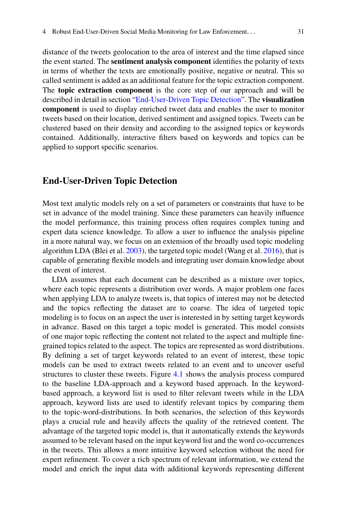distance of the tweets geolocation to the area of interest and the time elapsed since the event started. The **sentiment analysis component** identifies the polarity of texts in terms of whether the texts are emotionally positive, negative or neutral. This so called sentiment is added as an additional feature for the topic extraction component. The **topic extraction component** is the core step of our approach and will be described in detail in section ["End-User-Driven Topic Detection"](#page-2-0). The **visualization component** is used to display enriched tweet data and enables the user to monitor tweets based on their location, derived sentiment and assigned topics. Tweets can be clustered based on their density and according to the assigned topics or keywords contained. Additionally, interactive filters based on keywords and topics can be applied to support specific scenarios.

#### <span id="page-2-0"></span>**End-User-Driven Topic Detection**

Most text analytic models rely on a set of parameters or constraints that have to be set in advance of the model training. Since these parameters can heavily influence the model performance, this training process often requires complex tuning and expert data science knowledge. To allow a user to influence the analysis pipeline in a more natural way, we focus on an extension of the broadly used topic modeling algorithm LDA (Blei et al.  $2003$ ), the targeted topic model (Wang et al.  $2016$ ), that is capable of generating flexible models and integrating user domain knowledge about the event of interest.

LDA assumes that each document can be described as a mixture over topics, where each topic represents a distribution over words. A major problem one faces when applying LDA to analyze tweets is, that topics of interest may not be detected and the topics reflecting the dataset are to coarse. The idea of targeted topic modeling is to focus on an aspect the user is interested in by setting target keywords in advance. Based on this target a topic model is generated. This model consists of one major topic reflecting the content not related to the aspect and multiple finegrained topics related to the aspect. The topics are represented as word distributions. By defining a set of target keywords related to an event of interest, these topic models can be used to extract tweets related to an event and to uncover useful structures to cluster these tweets. Figure [4.1](#page-3-0) shows the analysis process compared to the baseline LDA-approach and a keyword based approach. In the keywordbased approach, a keyword list is used to filter relevant tweets while in the LDA approach, keyword lists are used to identify relevant topics by comparing them to the topic-word-distributions. In both scenarios, the selection of this keywords plays a crucial rule and heavily affects the quality of the retrieved content. The advantage of the targeted topic model is, that it automatically extends the keywords assumed to be relevant based on the input keyword list and the word co-occurrences in the tweets. This allows a more intuitive keyword selection without the need for expert refinement. To cover a rich spectrum of relevant information, we extend the model and enrich the input data with additional keywords representing different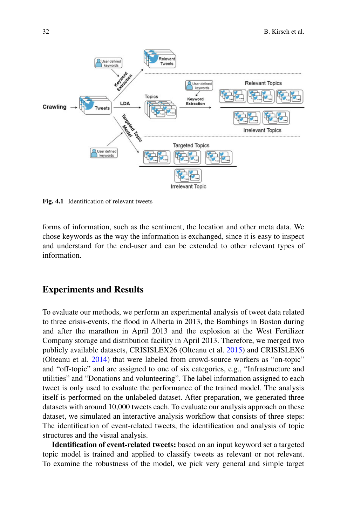

<span id="page-3-0"></span>**Fig. 4.1** Identification of relevant tweets

forms of information, such as the sentiment, the location and other meta data. We chose keywords as the way the information is exchanged, since it is easy to inspect and understand for the end-user and can be extended to other relevant types of information.

## **Experiments and Results**

To evaluate our methods, we perform an experimental analysis of tweet data related to three crisis-events, the flood in Alberta in 2013, the Bombings in Boston during and after the marathon in April 2013 and the explosion at the West Fertilizer Company storage and distribution facility in April 2013. Therefore, we merged two publicly available datasets, CRISISLEX26 (Olteanu et al. [2015\)](#page-7-8) and CRISISLEX6 (Olteanu et al. [2014\)](#page-7-1) that were labeled from crowd-source workers as "on-topic" and "off-topic" and are assigned to one of six categories, e.g., "Infrastructure and utilities" and "Donations and volunteering". The label information assigned to each tweet is only used to evaluate the performance of the trained model. The analysis itself is performed on the unlabeled dataset. After preparation, we generated three datasets with around 10,000 tweets each. To evaluate our analysis approach on these dataset, we simulated an interactive analysis workflow that consists of three steps: The identification of event-related tweets, the identification and analysis of topic structures and the visual analysis.

**Identification of event-related tweets:** based on an input keyword set a targeted topic model is trained and applied to classify tweets as relevant or not relevant. To examine the robustness of the model, we pick very general and simple target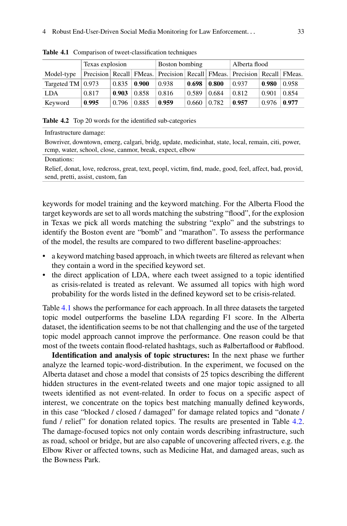<span id="page-4-0"></span>

|                          | Texas explosion |       |       | Boston bombing                                                          |       |       | Alberta flood |       |       |
|--------------------------|-----------------|-------|-------|-------------------------------------------------------------------------|-------|-------|---------------|-------|-------|
| Model-type               |                 |       |       | Precision Recall FMeas. Precision Recall FMeas. Precision Recall FMeas. |       |       |               |       |       |
| Targeted $TM \mid 0.973$ |                 | 0.835 | 0.900 | 0.938                                                                   | 0.698 | 0.800 | 0.937         | 0.980 | 0.958 |
| LDA                      | 0.817           | 0.903 | 0.858 | 0.816                                                                   | 0.589 | 0.684 | 0.812         | 0.901 | 0.854 |
| Keyword                  | 0.995           | 0.796 | 0.885 | 0.959                                                                   | 0.660 | 0.782 | 0.957         | 0.976 | 0.977 |

**Table 4.1** Comparison of tweet-classification techniques

**Table 4.2** Top 20 words for the identified sub-categories

<span id="page-4-1"></span>Infrastructure damage:

Bowriver, downtown, emerg, calgari, bridg, update, medicinhat, state, local, remain, citi, power, rcmp, water, school, close, canmor, break, expect, elbow

Donations:

Relief, donat, love, redcross, great, text, peopl, victim, find, made, good, feel, affect, bad, provid, send, pretti, assist, custom, fan

keywords for model training and the keyword matching. For the Alberta Flood the target keywords are set to all words matching the substring "flood", for the explosion in Texas we pick all words matching the substring "explo" and the substrings to identify the Boston event are "bomb" and "marathon". To assess the performance of the model, the results are compared to two different baseline-approaches:

- a keyword matching based approach, in which tweets are filtered as relevant when they contain a word in the specified keyword set.
- the direct application of LDA, where each tweet assigned to a topic identified as crisis-related is treated as relevant. We assumed all topics with high word probability for the words listed in the defined keyword set to be crisis-related.

Table [4.1](#page-4-0) shows the performance for each approach. In all three datasets the targeted topic model outperforms the baseline LDA regarding F1 score. In the Alberta dataset, the identification seems to be not that challenging and the use of the targeted topic model approach cannot improve the performance. One reason could be that most of the tweets contain flood-related hashtags, such as #albertaflood or #abflood.

**Identification and analysis of topic structures:** In the next phase we further analyze the learned topic-word-distribution. In the experiment, we focused on the Alberta dataset and chose a model that consists of 25 topics describing the different hidden structures in the event-related tweets and one major topic assigned to all tweets identified as not event-related. In order to focus on a specific aspect of interest, we concentrate on the topics best matching manually defined keywords, in this case "blocked / closed / damaged" for damage related topics and "donate / fund / relief" for donation related topics. The results are presented in Table [4.2.](#page-4-1) The damage-focused topics not only contain words describing infrastructure, such as road, school or bridge, but are also capable of uncovering affected rivers, e.g. the Elbow River or affected towns, such as Medicine Hat, and damaged areas, such as the Bowness Park.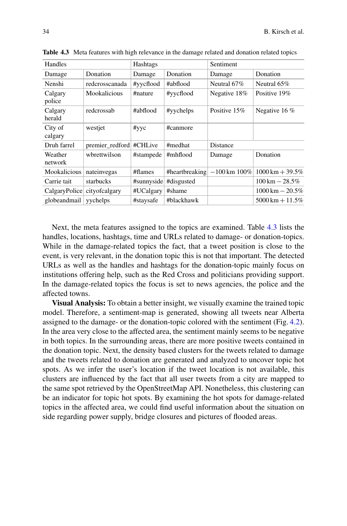<span id="page-5-0"></span>

| Handles            |                         | Hashtags   |                | Sentiment                 |                               |  |
|--------------------|-------------------------|------------|----------------|---------------------------|-------------------------------|--|
| Damage             | Donation                | Damage     | Donation       | Damage                    | Donation                      |  |
| Nenshi             | redcrosscanada          | #yycflood  | #abflood       | Neutral $67\%$            | Neutral $65\%$                |  |
| Calgary<br>police  | Mookalicious            | #nature    | #yycflood      | Negative 18%              | Positive 19%                  |  |
| Calgary<br>herald  | redcrossab              | #abflood   | #yychelps      | Positive 15%              | Negative 16 %                 |  |
| City of<br>calgary | westjet                 | $\#$ yyc   | #canmore       |                           |                               |  |
| Druh farrel        | premier redford #CHLive |            | #medhat        | Distance                  |                               |  |
| Weather<br>network | whrettwilson            | #stampede  | #mhflood       | Damage                    | Donation                      |  |
| Mookalicious       | nateinvegas             | #flames    | #heartbreaking | $-100 \,\mathrm{km}$ 100% | $1000 \text{ km} + 39.5\%$    |  |
| Carrie tait        | starbucks               | #sunnyside | #disgusted     |                           | $100 \,\mathrm{km} - 28.5\%$  |  |
| CalgaryPolice      | cityofcalgary           | #UCalgary  | #shame         |                           | $1000 \,\mathrm{km} - 20.5\%$ |  |
| globeandmail       | yychelps                | #staysafe  | #blackhawk     |                           | $5000 \text{ km} + 11.5\%$    |  |

**Table 4.3** Meta features with high relevance in the damage related and donation related topics

Next, the meta features assigned to the topics are examined. Table [4.3](#page-5-0) lists the handles, locations, hashtags, time and URLs related to damage- or donation-topics. While in the damage-related topics the fact, that a tweet position is close to the event, is very relevant, in the donation topic this is not that important. The detected URLs as well as the handles and hashtags for the donation-topic mainly focus on institutions offering help, such as the Red Cross and politicians providing support. In the damage-related topics the focus is set to news agencies, the police and the affected towns.

**Visual Analysis:** To obtain a better insight, we visually examine the trained topic model. Therefore, a sentiment-map is generated, showing all tweets near Alberta assigned to the damage- or the donation-topic colored with the sentiment (Fig. [4.2\)](#page-6-2). In the area very close to the affected area, the sentiment mainly seems to be negative in both topics. In the surrounding areas, there are more positive tweets contained in the donation topic. Next, the density based clusters for the tweets related to damage and the tweets related to donation are generated and analyzed to uncover topic hot spots. As we infer the user's location if the tweet location is not available, this clusters are influenced by the fact that all user tweets from a city are mapped to the same spot retrieved by the OpenStreetMap API. Nonetheless, this clustering can be an indicator for topic hot spots. By examining the hot spots for damage-related topics in the affected area, we could find useful information about the situation on side regarding power supply, bridge closures and pictures of flooded areas.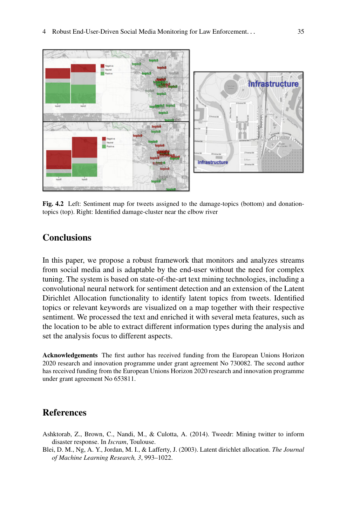

<span id="page-6-2"></span>**Fig. 4.2** Left: Sentiment map for tweets assigned to the damage-topics (bottom) and donationtopics (top). Right: Identified damage-cluster near the elbow river

# **Conclusions**

In this paper, we propose a robust framework that monitors and analyzes streams from social media and is adaptable by the end-user without the need for complex tuning. The system is based on state-of-the-art text mining technologies, including a convolutional neural network for sentiment detection and an extension of the Latent Dirichlet Allocation functionality to identify latent topics from tweets. Identified topics or relevant keywords are visualized on a map together with their respective sentiment. We processed the text and enriched it with several meta features, such as the location to be able to extract different information types during the analysis and set the analysis focus to different aspects.

**Acknowledgements** The first author has received funding from the European Unions Horizon 2020 research and innovation programme under grant agreement No 730082. The second author has received funding from the European Unions Horizon 2020 research and innovation programme under grant agreement No 653811.

## **References**

<span id="page-6-0"></span>Ashktorab, Z., Brown, C., Nandi, M., & Culotta, A. (2014). Tweedr: Mining twitter to inform disaster response. In *Iscram*, Toulouse.

<span id="page-6-1"></span>Blei, D. M., Ng, A. Y., Jordan, M. I., & Lafferty, J. (2003). Latent dirichlet allocation. *The Journal of Machine Learning Research, 3*, 993–1022.